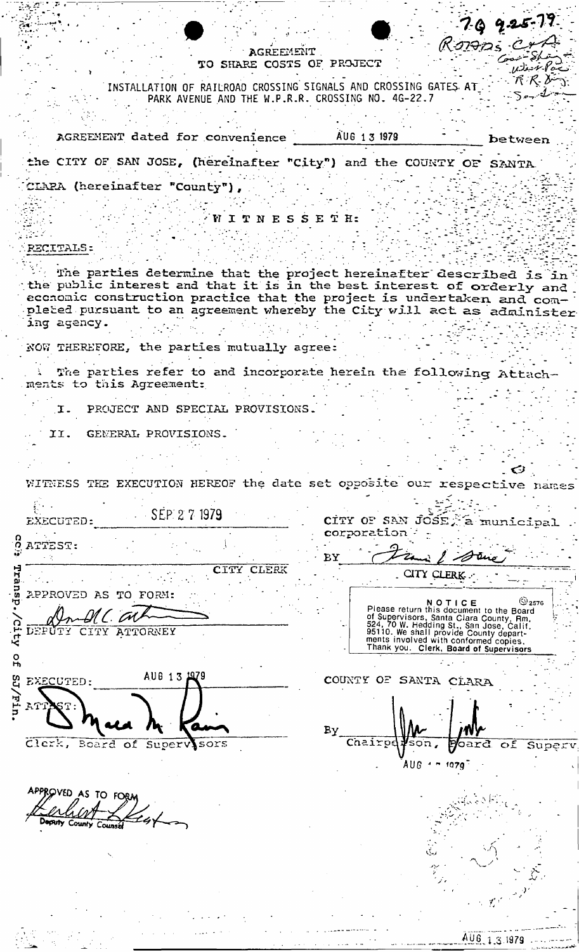|  | ANING CONTRACTOR |                           |
|--|------------------|---------------------------|
|  |                  | TO SHARE COSTS OF PROJECT |

INSTALLATION OF RAILROAD CROSSING SIGNALS AND CROSSING GATES AT PARK AVENUE AND THE W.P.R.R. CROSSING NO. 4G-22.7

|  | AGREEMENT dated for convenience                                    | AUG 1 3 1979 | between |
|--|--------------------------------------------------------------------|--------------|---------|
|  | the CITY OF SAN JOSE, (hereinafter "City") and the COUNTY OF SANTA |              |         |

CLARA (hereinafter "County"),

WITNESSETH:

### **RECITALS:**

The parties determine that the project hereinafter described is in the public interest and that it is in the best interest of orderly and economic construction practice that the project is undertaken and com-<br>pleted pursuant to an agreement whereby the City will act as administer ing agency.

NOW THEREFORE, the parties mutually agree:

The parties refer to and incorporate herein the following Attachments to this Agreement:

PROJECT AND SPECIAL PROVISIONS. I.

GENERAL PROVISIONS. II.

WITHESS THE EXECUTION HEREOF the date set opposite our respective names

SEP 27 1979 EXECUTED: CITY OF SAN JOSE, a munici corporation ATTEST: BY ŻŁ CITY CLERK CITY CLERK APPROVED AS TO FORM: NOTICE<br>Piease return this document to the Board<br>of Supervisors, Santa Clara County, Rm.<br>524, 70 W. Hedding St., San Jose, Calif.<br>95110. We shall provide County depart-<br>ments involved with conformed copies.<br>Thank you. Clerk  $\mathbb{Q}_{2576}$ UL CAL DEPUTY CITY ATTORNEY  $\frac{0}{1}$ AUG 13 1979 COUNTY OF SANTA CLARA EXECUTED:  $\overline{\textbf{s}}$ oʻn , Clerk, Board of Supervisors Chairpe bard of Super  $A \cup B$   $\rightarrow$   $\rightarrow$  1079

APPROVED AS TO FORM

AUG 1.3.1979

79 925-79

متسلاكح سنتيع  $\nu$  desir Po - パ 尺 び

 $5 - 1$ 

Romas Cro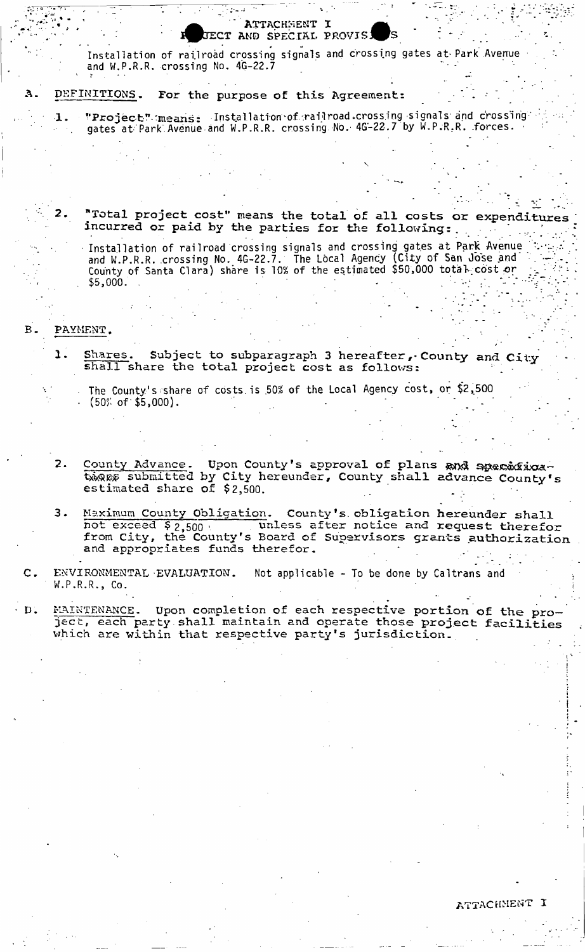Installation of railroad crossing signals and crossing gates at Park Avenue and W.P.R.R. crossing No.  $4G-22.7$ 

 $\Lambda$ TTACHMENT I ECT AND SPECIAL PROVIS!

#### DEFINITIONS. For the purpose of this Agreement: А.

 $1$  . "Project" means: Installation of railroad crossing signals and crossing  $\sim$ gates at Park Avenue and W.P.R.R. crossing No. 4G-22.7 by W.P.R.R. .forces. •

*2.* **"Total project cost" means the total of all costs or expenditures incurred or paid by the parties for the following:. . .** 

Installation of railroad crossing signals and crossing gates at Park Avenue (  $\sim$   $\sim$ and W.P.R.R. crossing No. 4G-22.7. The Local Agency (City of San Jose and . County of Santa Clara) share is 10% of the estimated \$50,000 total cost or  $\begin{array}{ccc} \hbox{--}\end{array}$ . \$5,000. . - - . : - v."

#### **PAYMENT»**

 $B -$ 

- 1. Shares. Subject to subparagraph 3 hereafter, County and City shall share the total project cost as follows:
	- The County's share of costs, is .50% of the Local Agency cost, or \$2,500  $(50\% \text{ of } $5,000).$
- **2. County Advance. Upon County's approval of plans submitted by City hereunder, County shall advance County's estimated share of \$2,500.**
- **3. Maximum County Obligation. County <sup>f</sup>s. obligation hereunder shall**  not exceed \$ 2,500 i unless after notice and request therefor **from City, the County's Board of Supervisors grants authorization and appropriates funds therefor, - .. .**

 $c.$ **ENVIRONMENTAL EVALUATION.** Not applicable - To be done by Caltrans and W.P.R.R., Co.

MAINTENANCE. Upon completion of each respective portion of the pro- $\cdot$  D. **ject, each party, shall maintain and operate those project facilities which are within that respective party's jurisdiction.** 

*J*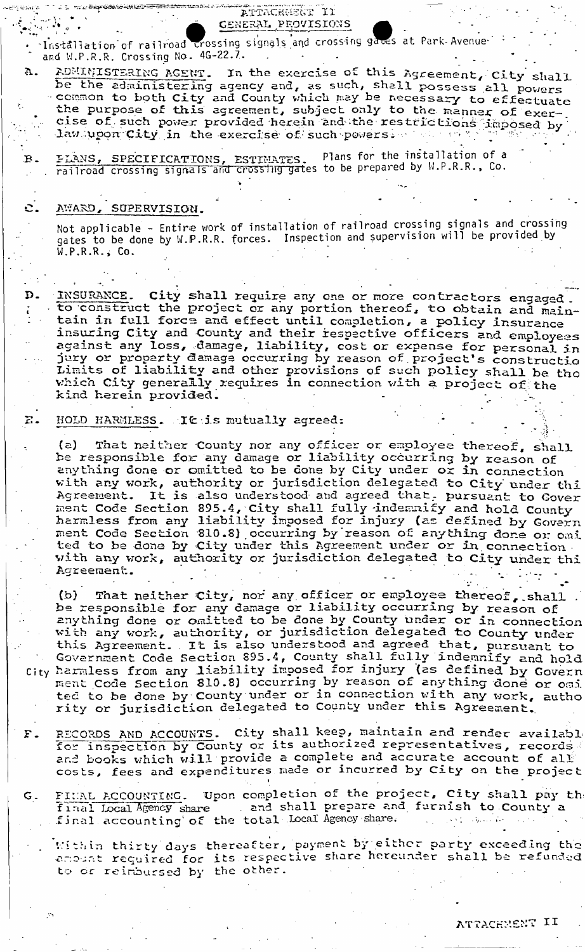ATTACHMENT II CENERAL PROVISIONS Installation of railroad crossing signals and crossing gates at Park Avenue and W.P.R.R. Crossing No. 4G-22.7. In the exercise of this Agreement, City shall ADMINISTERING AGENT.  $\mathbf{A}$ . be the administering agency and, as such, shall possess all powers common to both City and County which may be necessary to effectuate the purpose of this agreement, subject only to the manner of exercise of such power provided herein and the restrictions imposed by law upon City in the exercise of such powers. Plans for the installation of a PLANS, SPECIFICATIONS, ESTIMATES. Plans for the installation of a<br>railroad crossing signals and crossing gates to be prepared by W.P.R.R., Co.  $B \mathbf{c}$ . AWARD, SUPERVISION. Not applicable - Entire work of installation of railroad crossing signals and crossing gates to be done by W.P.R.R. forces. Inspection and supervision will be provided by  $W.P.R.R.$ , Co. City shall require any one or more contractors engaged. D. INSURANCE. to construct the project or any portion thereof, to obtain and maintain in full force and effect until completion, a policy insurance insuring City and County and their respective officers and employees against any loss, damage, liability, cost or expense for personal in jury or property damage occurring by reason of project's constructio Limits of liability and other provisions of such policy shall be tho which City generally requires in connection with a project of the kind herein provided.  $E -$ HOLD HARMLESS. It is mutually agreed: (a) That neither County nor any officer or employee thereof, shall<br>be responsible for any damage or liability occurring by reason of anything done or omitted to be done by City under or in connection with any work, authority or jurisdiction delegated to City under thi ment Code Section 895.4, City shall fully indemnify and hold County<br>harmless from any liability imposed for injury (as defined by Govern<br>ment Code Section 810.8) occurring by reason of anything done or omi ted to be done by City under this Agreement under or in connection.<br>with any work, authority or jurisdiction delegated to City under thi Agreement. That neither City, nor any officer or employee thereof, shall.  $(d)$ be responsible for any damage or liability occurring by reason of anything done or omitted to be done by County under or in connection with any work, authority, or jurisdiction delegated to County under this Agreement. . It is also understood and agreed that, pursuant to Government Code Section 895.4, County shall fully indemnify and hold City harmless from any liability imposed for injury (as defined by Govern<br>ment Code Section 810.8) occurring by reason of anything done or omi ted to be done by County under or in connection with any work, autho rity or jurisdiction delegated to County under this Agreement. RECORDS AND ACCOUNTS. City shall keep, maintain and render available  $F$ .

- for inspection by County or its authorized representatives, records and books which will provide a complete and accurate account of all costs, fees and expenditures made or incurred by City on the project
- FINAL ACCOUNTING. Upon completion of the project, City shall pay the  $G$ . final Local Agency share and shall prepare and furnish to County a final accounting of the total Local Agency share.
	- Within thirty days thereafter, payment by either party exceeding the anount required for its respective share hereunder shall be refunded to or reimbursed by the other.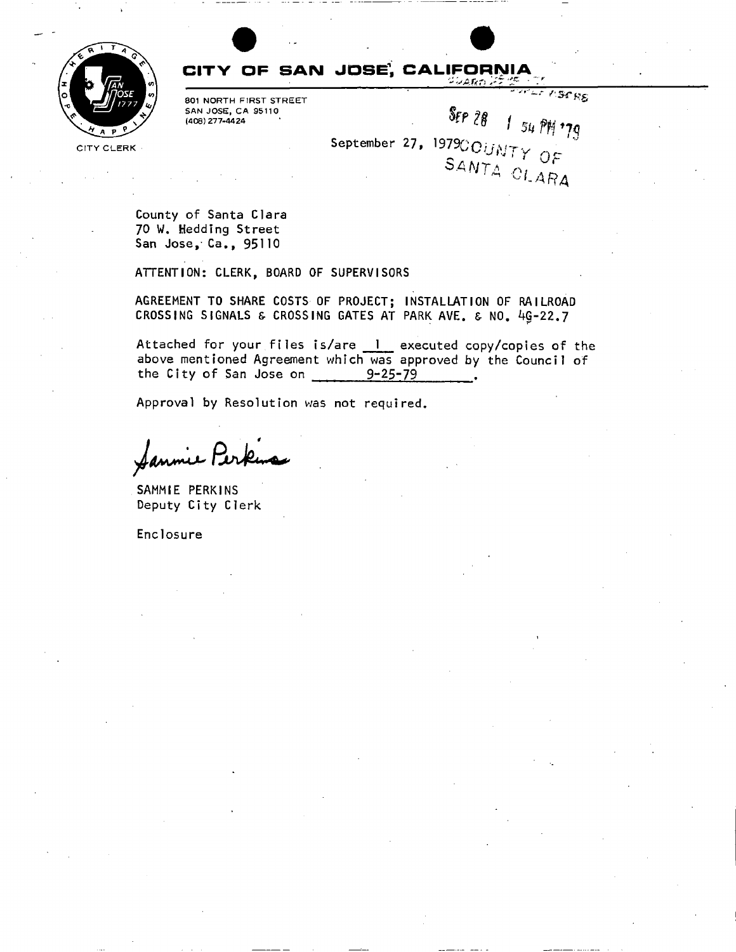

### **CITY OF SAIM JDSE<sup>1</sup> , CALIFORNIA**

801 NORTH FIRST STREET SAN JOSE, CA 95110 (408) 277-4424

September 2<mark>7,</mark> 1979 $\odot$  $\mathbf{c}$ 

LE VISERS

County of Santa Clara 70 W. Hedding Street San Jose, Ca., 95110

ATTENTION: CLERK, BOARD OF SUPERVISORS

AGREEMENT TO SHARE COSTS OF PROJECT; INSTALLATION OF RAILROAD CROSSING SIGNALS & CROSSING GATES AT PARK AVE. & NO. 4Q-22.7

Attached for your files is/are 1 executed copy/copies of the above mentioned Agreement which was approved by the Council of the City of San Jose on  $9-25-79$ 

Approval by Resolution was not required.

SAMMIE PERKINS Deputy City Clerk

Enclosure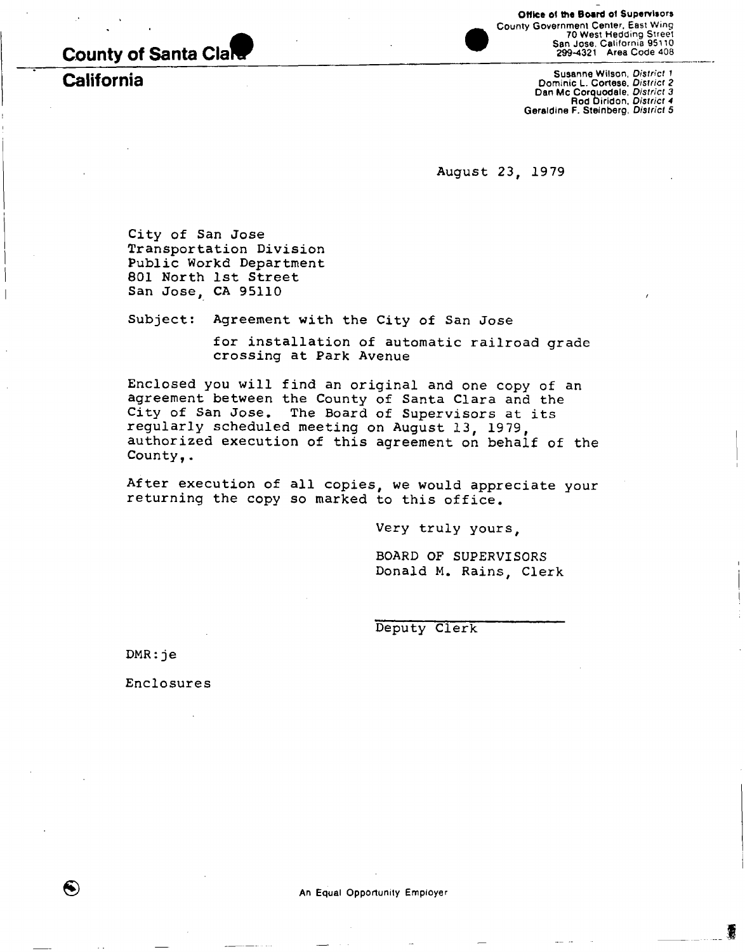**County of Santa Clal** 

**California** 

Office of **the** Board of Supervisors County Government Center, East Wing 70 West Hedding Street San Jose. California 95110 299-4321 Area Code 408

Susanne Wilson, *District* 1<br>
Dominic L. Cortese, *District 2*<br>
Dan Mc Corquodale. *District 3*<br>
Rod Diridon, *District 4*<br>
Geraldine F. Steinberg, *District* 5

**August 23, 1979** 

**City of San Jose Transportation Division Public Workd Department 801 North 1st Street San Jose, CA 95110** 

**Subject: Agreement with the City of San Jose** 

**for installation of automatic railroad grade crossing at Park Avenue** 

**Enclosed you will find an original and one copy of an agreement between the County of Santa Clara and the City of San Jose. The Board of Supervisors at its regularly scheduled meeting on August 13, 19 79, authorized execution of this agreement on behalf of the County,.** 

**After execution of all copies, we would appreciate your returning the copy so marked to this office.** 

**Very truly yours,** 

**BOARD OF SUPERVISORS Donald M. Rains, Clerk** 

**Deputy Clerk** 

**DMR:j e** 

❸

**Enclosures**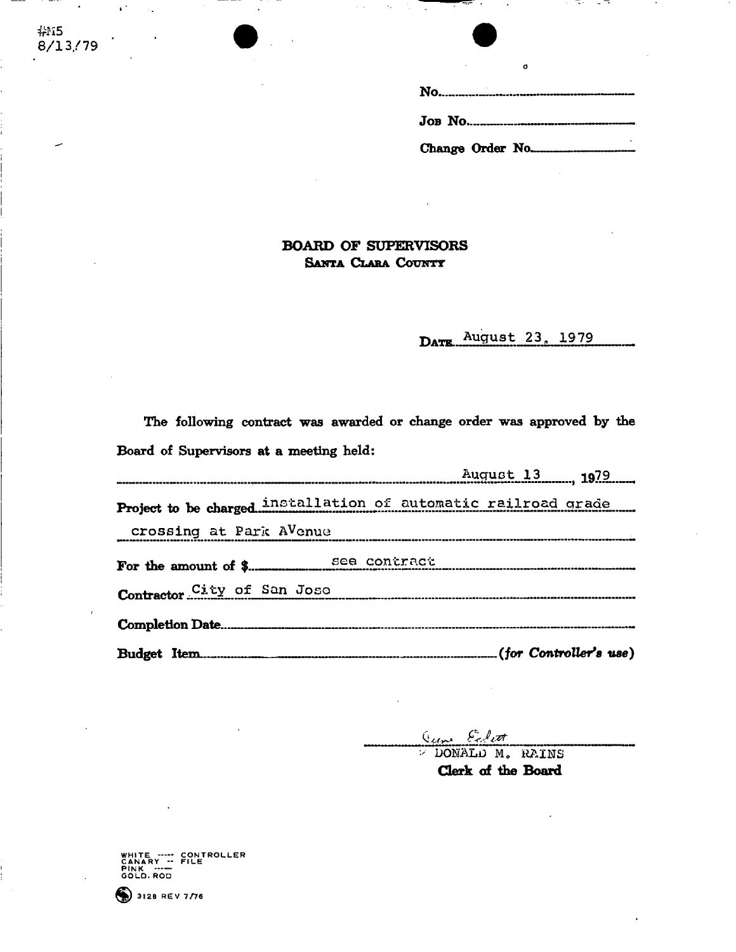#### **BOARD OF SUPERVISORS Santa Clara County**

**DATE** August 23, 1979

**The following contract was awarded or change order was approved by the Board of Supervisors at a meeting held:** 

| August 13 1979                                                 |  |  |
|----------------------------------------------------------------|--|--|
| Project to be charged installation of automatic railroad grade |  |  |
| crossing at Park AVenue                                        |  |  |
|                                                                |  |  |
| Contractor City of San Jose                                    |  |  |
|                                                                |  |  |
|                                                                |  |  |

aune Eclett

 $\overline{V}$  DONALD M. RAINS **Clerk of the Board** 

WHITE ---- CONTROLLER<br>CANARY ---<br>PINK ----<br>GOLD.ROD



**#K5 8/13/79**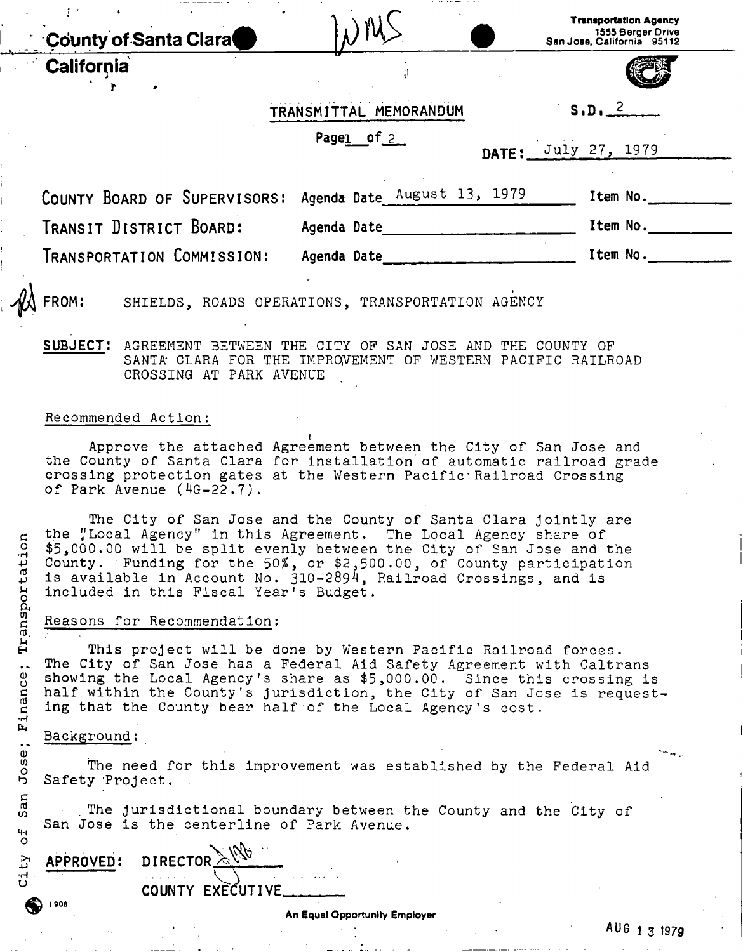|            | <b>County of Santa Clara</b> |                                                  | <b>Transportation Agency</b><br>1555 Berger Drive<br>San Jose, California 95112 |
|------------|------------------------------|--------------------------------------------------|---------------------------------------------------------------------------------|
| California |                              |                                                  |                                                                                 |
|            |                              | TRANSMITTAL MEMORANDUM                           | $S.D.$ $2$                                                                      |
|            |                              | Pagel of 2                                       | DATE: July 27, 1979                                                             |
|            | COUNTY BOARD OF SUPERVISORS: | Agenda Date August 13, 1979                      | Item No.                                                                        |
|            | TRANSIT DISTRICT BOARD:      | Agenda Date                                      | Item No.                                                                        |
|            | TRANSPORTATION COMMISSION:   | Agenda Date                                      | Item No.                                                                        |
| A FROM:    |                              | SHIELDS, ROADS OPERATIONS, TRANSPORTATION AGENCY |                                                                                 |

**SUBJECT:** AGREEMENT BETWEEN THE CITY OF SAN JOSE AND THE COUNTY OF SANTA CLARA FOR THE IMPROVEMENT OF WESTERN PACIFIC RAILROAD CROSSING AT PARK AVENUE

#### Recommended Action:

Approve the attached Agreement between the City of San Jose and the County of Santa Clara for installation of automatic railroad grade crossing protection gates at the Western Pacific• Railroad Crossing of Park Avenue (4G-22.7).

The City of San Jose and the County of Santa Clara jointly are the "Local Agency" in this Agreement. The Local Agency share of \$5,000.00 will be split evenly between the City of San Jose and the  $\mu$  County. Funding for the 50%, or \$2,500.00, of County participation  $\updownarrow$  is available in Account No. 310-2894, Railroad Crossings, and is included in this Fiscal Year's Budget.

#### Reasons for Recommendation:

ro. " : *u*  This project will be done by Western Pacific Railroad forces.<br>The City of San Jose has a Federal Aid Safety Agreement with Caltrans .. The City of San Jose has a reueral Aid Safety Agreement with Caltrans. g showing the Local Agency's share as  $\psi$ ,000.00. Since this crossing is<br>described the Local Agency's share as  $\psi$ ,000.00. Since this crossing is *c* half within the County's jurisdiction, the City of San Jose is requesting that the County bear half of the Local Agency's cost.

#### Background:

The need for this improvement was established by the Federal Aid

b Safety Project.<br>  $\frac{1}{5}$  The jurisd *c ' .*   $5$  . The jurisdictional boundary between the County and the City of San Jose is the centerline of Park Avenue.

| な<br>APPROVED: | $\tt DIRECTOR$ $\&$ $\forall$ $\mathcal{P}$ |
|----------------|---------------------------------------------|
|                | COUNTY EXECUTIVE                            |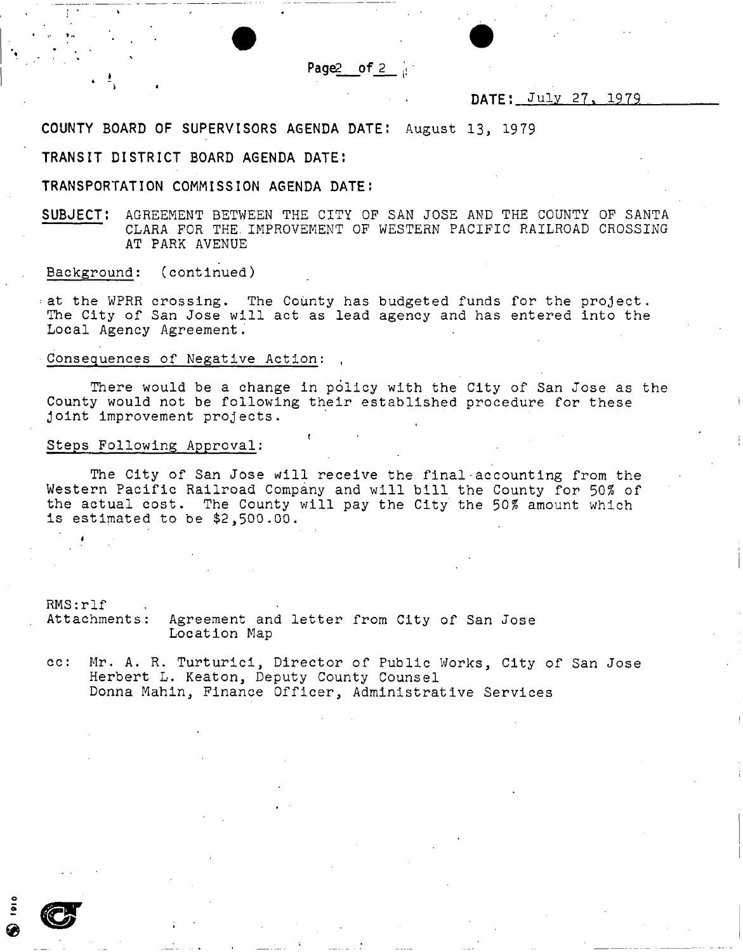Page2 of 2

#### **DATE: July 27 , 1979**

**COUNTY BOARD OF SUPERVISORS AGENDA DATE:** August **13,** 1979

#### **TRANSIT DISTRICT BOARD AGENDA DATE:**

**TRANSPORTATION COMMISSION AGENDA DATE J** 

**SUBJECT:** AGREEMENT BETWEEN THE CITY OF SAN JOSE AND THE COUNTY OF SANTA CLARA FOR THE. IMPROVEMENT OF WESTERN PACIFIC RAILROAD CROSSING AT PARK AVENUE

Background: (continued)

•at the WPRR crossing. The County has budgeted funds for the project. The City of San Jose will act as lead agency and has entered into the Local Agency Agreement.

Consequences of Negative Action:

There would be a change in policy with the City of San Jose as the County would not be following their established procedure for these joint improvement projects.

#### Steps Following Approval:

The City of San Jose will receive the final accounting from the Western Pacific Railroad Company and will bill the County for *50%* of the actual cost. The County will pay the City the *50%* amount which is estimated to be \$2,500.00.

**t** 

RMS:rlf .<br>Attachments: Agreement and letter from City of San Jose Location Map

cc: Mr. A. R. Turturici, Director of Public Works, City of San Jose Herbert L. Keaton, Deputy County Counsel Donna Mahin, Finance Officer, Administrative Services

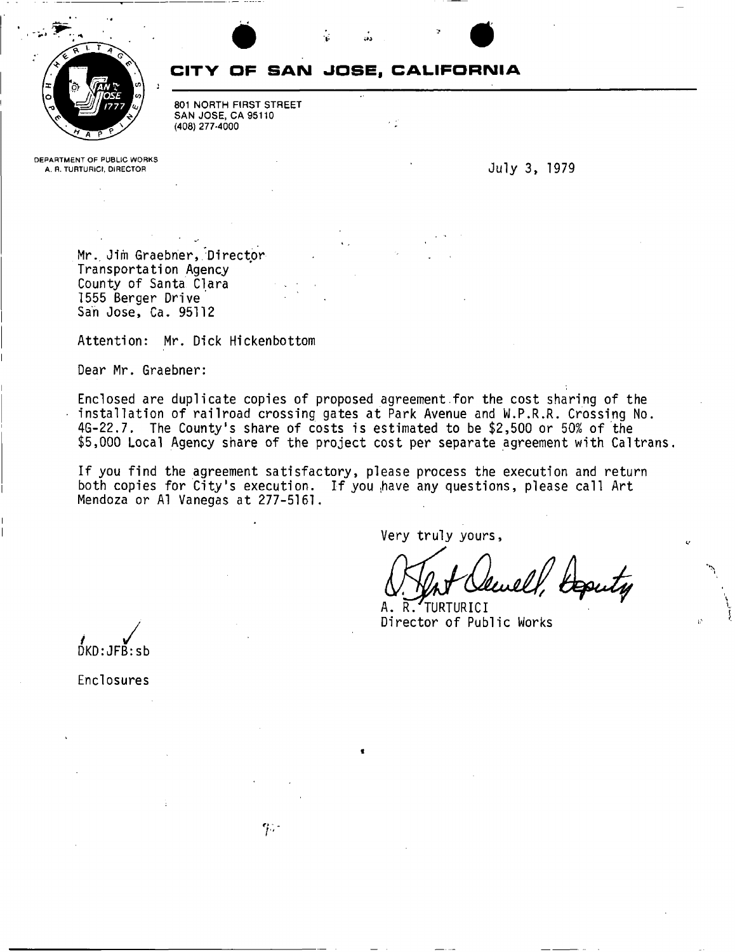

### **CITY OF SAN JOSE, CALIFORNIA**

801 NORTH FIRST STREET SAN JOSE, CA 95110 (408) 277-4000

**DEPARTMENT OF PUBLIC WORKS** 

**July 3, 1979** 

Mr., Jim Graebner, Director Transportation Agency County of Santa Clara 1555 Berger Drive San Jose, Ca. 95112

Attention: Mr. Dick Hickenbottom

Dear Mr. Graebner:

Enclosed are duplicate copies of proposed agreement for the cost sharing of the installation of railroad crossing gates at Park Avenue and W.P.R.R. Crossing No. 4G-22.7. The County's share of costs is estimated to be \$2,500 or 50% of the \$5,000 Local Agency share of the project cost per separate agreement with Caltrans.

If you find the agreement satisfactory, please process the execution and return both copies for City's execution. If you have any questions, please call Art Mendoza or A1 Vanegas at 277-5161.

Very truly yours

Deputy

A. R. TURTURICI Director of Public Works

DKD:JFB:sb

Enclosures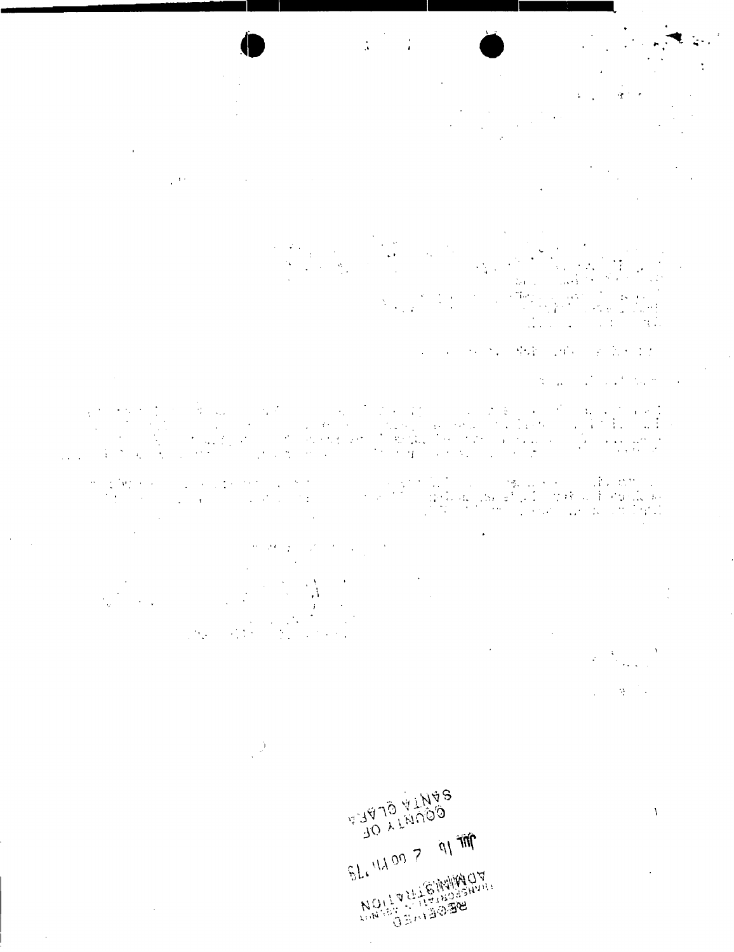$\tilde{\mathbf{q}} \simeq \tilde{\mathbf{r}}$ 

 $\frac{1}{\sqrt{2}}$ 

 $\frac{1}{2}$  ,  $\frac{1}{2}$  ,

 $\begin{bmatrix} 0 \\ 0 \\ 0 \\ 0 \end{bmatrix}$  $\frac{\mathrm{Tr}(\mathbf{r}^{\mathrm{d}}_{\mathrm{c}}\mathbf{r}^{\mathrm{d}}_{\mathrm{c}}\mathbf{r}^{\mathrm{d}}_{\mathrm{c}}\mathbf{r}^{\mathrm{d}}_{\mathrm{c}}\mathbf{r}^{\mathrm{d}}_{\mathrm{c}})}{\mathbf{r}^{\mathrm{d}}_{\mathrm{c}}\mathbf{r}^{\mathrm{d}}_{\mathrm{c}}\mathbf{r}^{\mathrm{d}}_{\mathrm{c}}\mathbf{r}^{\mathrm{d}}_{\mathrm{c}}\mathbf{r}^{\mathrm{d}}_{\mathrm{c}}\mathbf{r}^{\mathrm{d}}_{\mathrm{c}}\mathbf{r}^{\mathrm{d}}_{\$ a Ca  $\mathcal{L}$  . The set of  $\mathcal{L}$  $\sim$  11

· 2012年4月 · 2012年4月 · 2012年

 $\label{eq:2.1} \mathcal{L}(\mathcal{L}^{\text{max}}_{\text{max}}(\mathcal{L}^{\text{max}}_{\text{max}}), \mathcal{L}^{\text{max}}_{\text{max}}(\mathcal{L}^{\text{max}}_{\text{max}}))$ 

 $\mathcal{L}$ 

 $\begin{array}{l} \left\langle \left( \begin{array}{cccc} 1 & 0 & 0 & 0 \\ 0 & 0 & 0 & 0 \\ 0 & 0 & 0 & 0 \\ 0 & 0 & 0 & 0 \\ 0 & 0 & 0 & 0 \\ 0 & 0 & 0 & 0 \\ 0 & 0 & 0 & 0 \\ 0 & 0 & 0 & 0 \\ 0 & 0 & 0 & 0 \\ 0 & 0 & 0 & 0 \\ 0 & 0 & 0 & 0 \\ 0 & 0 & 0 & 0 \\ 0 & 0 & 0 & 0 \\ 0 & 0 & 0 & 0 \\ 0 & 0 & 0 & 0 \\ 0 & 0 & 0 & 0 \\ 0 & 0 &$ an Sunday (1993) and the Sunday of the Sunday<br>The Sunday of the Sunday of the Sunday  $\Delta \sim 10^{-11}$  $\Delta \sim 1$ 

 $\label{eq:1} \frac{1}{2} \frac{d^2 \omega}{d\omega^2} = \frac{1}{2} \frac{1}{2} \frac{d^2 \omega}{d\omega^2}$ 

 $\mathcal{G}$ 

*SPNIFFOLUTE*  $51.440077917$ 

**MOULTHERMANY** 

 $\sim$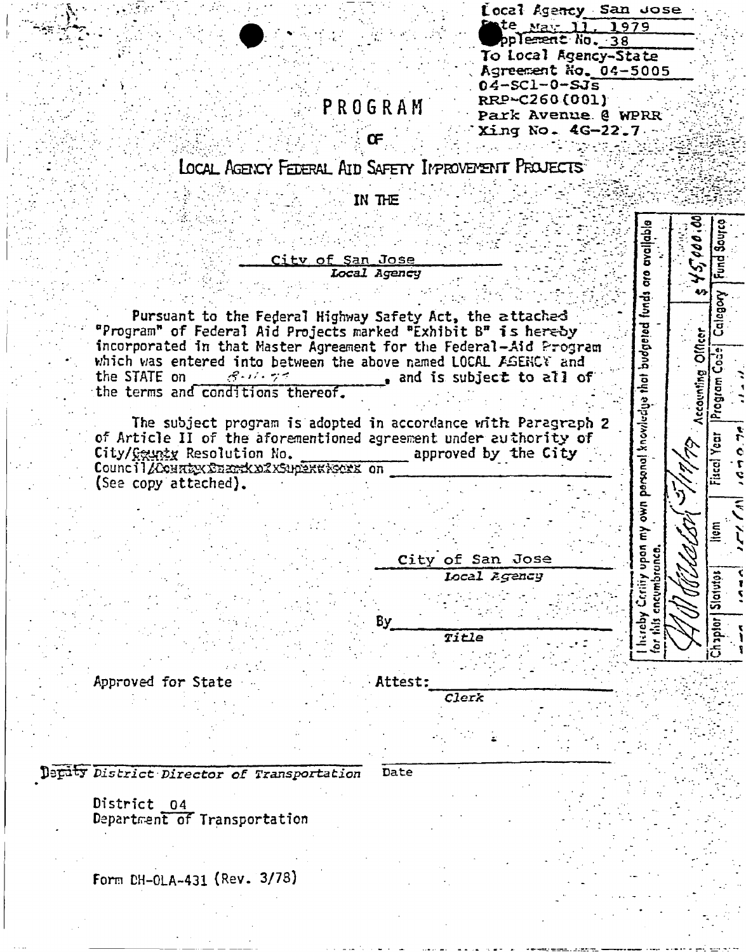| Local Agency San Jose |  |
|-----------------------|--|
| Ente May 11, 1979     |  |
| pplement No. 38       |  |
| To Local Agency-State |  |
| Agreement No. 04-5005 |  |
| $04 - SC1 - 0 - SJ5$  |  |
| RRP~C260(001)         |  |
| Park Avenue @ WPRR    |  |
| Xing No. 4G-22.7.     |  |

## PROGRAM

LOCAL AGENCY FEDERAL AID SAFETY IMPROVEMENT PROJECTS

IN THE

|                                            |                                                                   |                  |              |                          | evalable                     | 10.000     |
|--------------------------------------------|-------------------------------------------------------------------|------------------|--------------|--------------------------|------------------------------|------------|
|                                            |                                                                   | City of San Jose |              |                          |                              |            |
|                                            |                                                                   |                  | Local Agency |                          | budgeted funds are           |            |
|                                            |                                                                   |                  |              |                          |                              |            |
|                                            | Pursuant to the Federal Highway Safety Act, the attached          |                  |              |                          |                              |            |
|                                            | "Program" of Federal Aid Projects marked "Exhibit B" is hereby    |                  |              |                          |                              |            |
|                                            | incorporated in that Master Agreement for the Federal-Aid Program |                  |              |                          |                              | Ollicer    |
|                                            | which was entered into between the above named LOCAL FGENCY and   |                  |              |                          |                              |            |
| the STATE on                               | $8 - 11 - 77$                                                     |                  |              | and is subject to all of |                              |            |
|                                            | the terms and conditions thereof.                                 |                  |              |                          | that                         | Accounting |
|                                            |                                                                   |                  |              |                          |                              |            |
|                                            | The subject program is adopted in accordance with Paragraph 2     |                  |              |                          |                              |            |
|                                            | of Article II of the aforementioned agreement under authority of  |                  |              |                          | own personal knowledge       |            |
|                                            | City/County Resolution No.                                        |                  |              | approved by the City     |                              |            |
|                                            | Council Acenstex Character Council and Council Acens              |                  |              |                          |                              |            |
| (See copy attached).                       |                                                                   |                  |              |                          |                              |            |
|                                            |                                                                   |                  |              |                          |                              |            |
|                                            |                                                                   |                  |              |                          |                              |            |
|                                            |                                                                   |                  |              |                          | $\tilde{\epsilon}$           |            |
|                                            |                                                                   |                  |              |                          |                              |            |
|                                            |                                                                   |                  |              | City of San Jose         |                              |            |
|                                            |                                                                   |                  |              | Local Agency             |                              |            |
|                                            |                                                                   |                  |              |                          | Certify upon<br>cncumbrunca. |            |
|                                            |                                                                   |                  |              |                          |                              |            |
|                                            |                                                                   |                  | By           |                          | hareby<br>dis                |            |
|                                            |                                                                   |                  |              | Title                    | $\tilde{e}$                  |            |
|                                            |                                                                   |                  |              |                          |                              |            |
| Approved for State                         |                                                                   |                  | Attest:      |                          |                              |            |
|                                            |                                                                   |                  |              | Clerk                    |                              |            |
|                                            |                                                                   |                  |              |                          |                              |            |
|                                            |                                                                   |                  |              |                          |                              |            |
|                                            |                                                                   |                  |              |                          |                              |            |
|                                            |                                                                   |                  |              |                          |                              |            |
| Depity District Director of Transportation |                                                                   |                  | Date         |                          |                              |            |
|                                            |                                                                   |                  |              |                          |                              |            |
| District                                   | 04                                                                |                  |              |                          |                              |            |

Department of Transportation

Form CH-OLA-431 (Rev. 3/78)